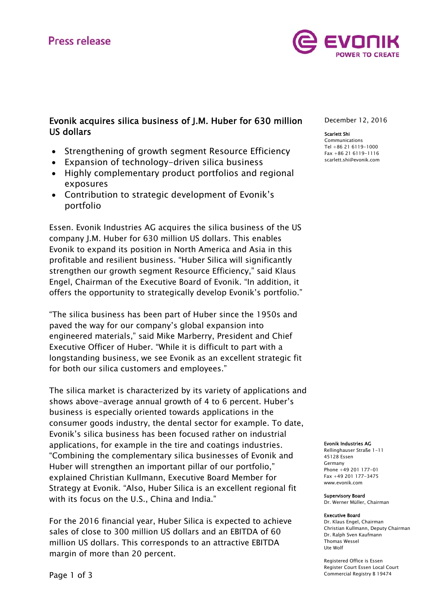# **Press release**



## Evonik acquires silica business of J.M. Huber for 630 million US dollars

- Strengthening of growth segment Resource Efficiency
- Expansion of technology-driven silica business
- Highly complementary product portfolios and regional exposures
- Contribution to strategic development of Evonik's portfolio

Essen. Evonik Industries AG acquires the silica business of the US company J.M. Huber for 630 million US dollars. This enables Evonik to expand its position in North America and Asia in this profitable and resilient business. "Huber Silica will significantly strengthen our growth segment Resource Efficiency," said Klaus Engel, Chairman of the Executive Board of Evonik. "In addition, it offers the opportunity to strategically develop Evonik's portfolio."

"The silica business has been part of Huber since the 1950s and paved the way for our company's global expansion into engineered materials," said Mike Marberry, President and Chief Executive Officer of Huber. "While it is difficult to part with a longstanding business, we see Evonik as an excellent strategic fit for both our silica customers and employees."

The silica market is characterized by its variety of applications and shows above-average annual growth of 4 to 6 percent. Huber's business is especially oriented towards applications in the consumer goods industry, the dental sector for example. To date, Evonik's silica business has been focused rather on industrial applications, for example in the tire and coatings industries. "Combining the complementary silica businesses of Evonik and Huber will strengthen an important pillar of our portfolio," explained Christian Kullmann, Executive Board Member for Strategy at Evonik. "Also, Huber Silica is an excellent regional fit with its focus on the U.S., China and India."

For the 2016 financial year, Huber Silica is expected to achieve sales of close to 300 million US dollars and an EBITDA of 60 million US dollars. This corresponds to an attractive EBITDA margin of more than 20 percent.

December 12, 2016

#### Scarlett Shi

Communications Tel +86 21 6119-1000 Fax +86 21 6119-1116 scarlett.shi@evonik.com

#### Evonik Industries AG

Rellinghauser Straße 1-11 45128 Essen Germany Phone +49 201 177-01 Fax +49 201 177-3475 www.evonik.com

#### Supervisory Board

Dr. Werner Müller, Chairman

#### Executive Board

Dr. Klaus Engel, Chairman Christian Kullmann, Deputy Chairman Dr. Ralph Sven Kaufmann Thomas Wessel Ute Wolf

Registered Office is Essen Register Court Essen Local Court Commercial Registry B 19474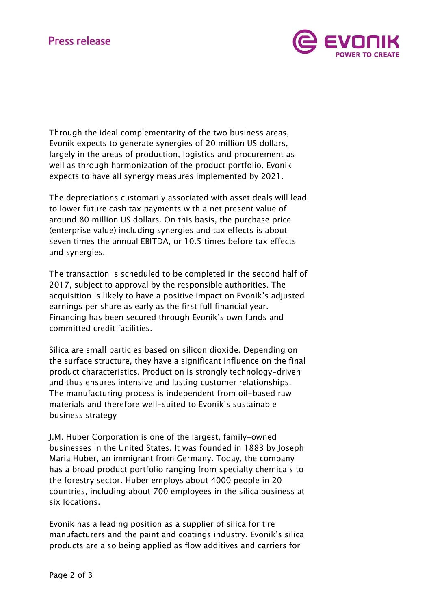

Through the ideal complementarity of the two business areas, Evonik expects to generate synergies of 20 million US dollars, largely in the areas of production, logistics and procurement as well as through harmonization of the product portfolio. Evonik expects to have all synergy measures implemented by 2021.

The depreciations customarily associated with asset deals will lead to lower future cash tax payments with a net present value of around 80 million US dollars. On this basis, the purchase price (enterprise value) including synergies and tax effects is about seven times the annual EBITDA, or 10.5 times before tax effects and synergies.

The transaction is scheduled to be completed in the second half of 2017, subject to approval by the responsible authorities. The acquisition is likely to have a positive impact on Evonik's adjusted earnings per share as early as the first full financial year. Financing has been secured through Evonik's own funds and committed credit facilities.

Silica are small particles based on silicon dioxide. Depending on the surface structure, they have a significant influence on the final product characteristics. Production is strongly technology-driven and thus ensures intensive and lasting customer relationships. The manufacturing process is independent from oil-based raw materials and therefore well-suited to Evonik's sustainable business strategy

J.M. Huber Corporation is one of the largest, family-owned businesses in the United States. It was founded in 1883 by Joseph Maria Huber, an immigrant from Germany. Today, the company has a broad product portfolio ranging from specialty chemicals to the forestry sector. Huber employs about 4000 people in 20 countries, including about 700 employees in the silica business at six locations.

Evonik has a leading position as a supplier of silica for tire manufacturers and the paint and coatings industry. Evonik's silica products are also being applied as flow additives and carriers for